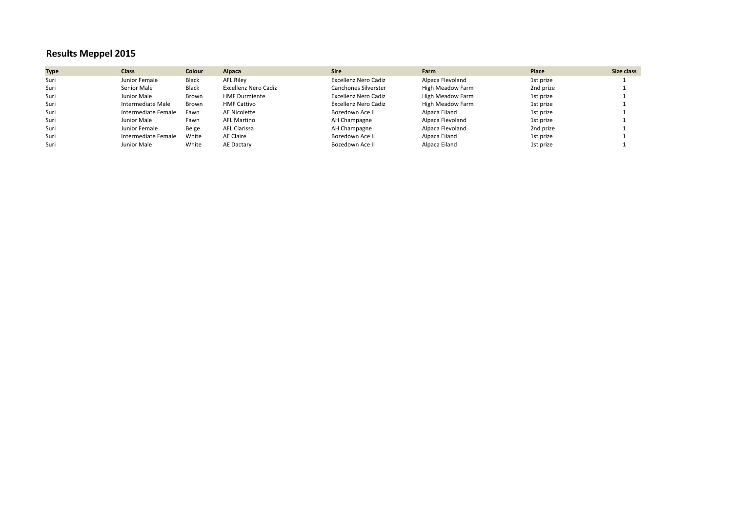## **Results Meppel 2015**

| <b>Type</b> | <b>Class</b>        | Colour | Alpaca               | <b>Sire</b>          | Farm             | Place     | Size class |
|-------------|---------------------|--------|----------------------|----------------------|------------------|-----------|------------|
| Suri        | Junior Female       | Black  | <b>AFL Rilev</b>     | Excellenz Nero Cadiz | Alpaca Flevoland | 1st prize |            |
| Suri        | Senior Male         | Black  | Excellenz Nero Cadiz | Canchones Silverster | High Meadow Farm | 2nd prize |            |
| Suri        | Junior Male         | Brown  | <b>HMF Durmiente</b> | Excellenz Nero Cadiz | High Meadow Farm | 1st prize |            |
| Suri        | Intermediate Male   | Brown  | <b>HMF Cattivo</b>   | Excellenz Nero Cadiz | High Meadow Farm | 1st prize |            |
| Suri        | Intermediate Female | Fawn   | AE Nicolette         | Bozedown Ace II      | Alpaca Eiland    | 1st prize |            |
| Suri        | Junior Male         | Fawn   | <b>AFL Martino</b>   | AH Champagne         | Alpaca Flevoland | 1st prize |            |
| Suri        | Junior Female       | Beige  | <b>AFL Clarissa</b>  | AH Champagne         | Alpaca Flevoland | 2nd prize |            |
| Suri        | Intermediate Female | White  | AE Claire            | Bozedown Ace II      | Alpaca Eiland    | 1st prize |            |
| Suri        | Junior Male         | White  | AE Dactary           | Bozedown Ace II      | Alpaca Eiland    | 1st prize |            |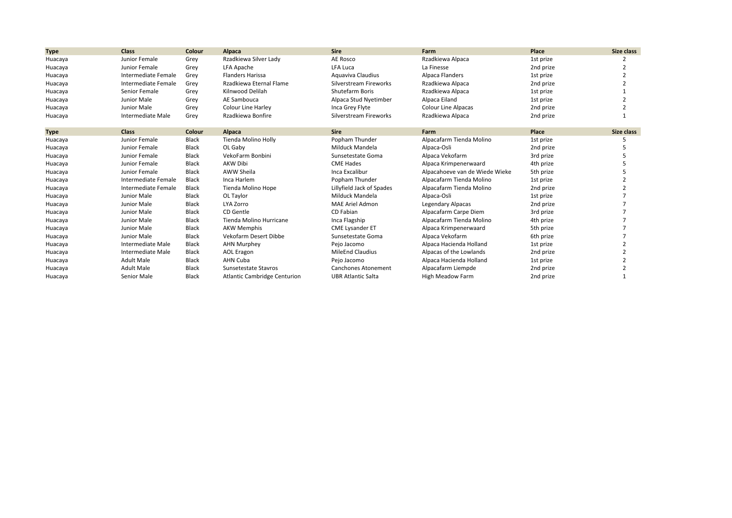| <b>Type</b> | <b>Class</b>        | Colour        | Alpaca                              | <b>Sire</b>                | Farm                           | Place     | <b>Size class</b> |
|-------------|---------------------|---------------|-------------------------------------|----------------------------|--------------------------------|-----------|-------------------|
| Huacaya     | Junior Female       | Grey          | Rzadkiewa Silver Lady               | AE Rosco                   | Rzadkiewa Alpaca               | 1st prize |                   |
| Huacaya     | Junior Female       | Grey          | LFA Apache                          | <b>LFA Luca</b>            | La Finesse                     | 2nd prize |                   |
| Huacaya     | Intermediate Female | Grey          | <b>Flanders Harissa</b>             | Aguaviva Claudius          | Alpaca Flanders                | 1st prize |                   |
| Huacaya     | Intermediate Female | Grey          | Rzadkiewa Eternal Flame             | Silverstream Fireworks     | Rzadkiewa Alpaca               | 2nd prize |                   |
| Huacaya     | Senior Female       | Grey          | Kilnwood Delilah                    | <b>Shutefarm Boris</b>     | Rzadkiewa Alpaca               | 1st prize |                   |
| Huacaya     | Junior Male         | Grey          | AE Sambouca                         | Alpaca Stud Nyetimber      | Alpaca Eiland                  | 1st prize |                   |
| Huacaya     | Junior Male         | Grey          | <b>Colour Line Harley</b>           | Inca Grey Flyte            | <b>Colour Line Alpacas</b>     | 2nd prize |                   |
| Huacaya     | Intermediate Male   | Grey          | Rzadkiewa Bonfire                   | Silverstream Fireworks     | Rzadkiewa Alpaca               | 2nd prize |                   |
| <b>Type</b> | <b>Class</b>        | <b>Colour</b> | Alpaca                              | <b>Sire</b>                | Farm                           | Place     | Size class        |
| Huacaya     | Junior Female       | <b>Black</b>  | Tienda Molino Holly                 | Popham Thunder             | Alpacafarm Tienda Molino       | 1st prize |                   |
| Huacaya     | Junior Female       | Black         | OL Gaby                             | Milduck Mandela            | Alpaca-Osli                    | 2nd prize |                   |
| Huacaya     | Junior Female       | <b>Black</b>  | VekoFarm Bonbini                    | Sunsetestate Goma          | Alpaca Vekofarm                | 3rd prize |                   |
| Huacaya     | Junior Female       | Black         | <b>AKW Dibi</b>                     | <b>CME Hades</b>           | Alpaca Krimpenerwaard          | 4th prize |                   |
| Huacaya     | Junior Female       | <b>Black</b>  | AWW Sheila                          | Inca Excalibur             | Alpacahoeve van de Wiede Wieke | 5th prize |                   |
| Huacaya     | Intermediate Female | Black         | Inca Harlem                         | Popham Thunder             | Alpacafarm Tienda Molino       | 1st prize |                   |
| Huacaya     | Intermediate Female | Black         | Tienda Molino Hope                  | Lillyfield Jack of Spades  | Alpacafarm Tienda Molino       | 2nd prize |                   |
| Huacaya     | Junior Male         | <b>Black</b>  | OL Taylor                           | Milduck Mandela            | Alpaca-Osli                    | 1st prize |                   |
| Huacaya     | Junior Male         | <b>Black</b>  | LYA Zorro                           | <b>MAE Ariel Admon</b>     | Legendary Alpacas              | 2nd prize |                   |
| Huacaya     | Junior Male         | <b>Black</b>  | CD Gentle                           | CD Fabian                  | Alpacafarm Carpe Diem          | 3rd prize |                   |
| Huacaya     | Junior Male         | Black         | Tienda Molino Hurricane             | Inca Flagship              | Alpacafarm Tienda Molino       | 4th prize |                   |
| Huacaya     | Junior Male         | <b>Black</b>  | <b>AKW Memphis</b>                  | <b>CME Lysander ET</b>     | Alpaca Krimpenerwaard          | 5th prize |                   |
| Huacaya     | Junior Male         | <b>Black</b>  | Vekofarm Desert Dibbe               | Sunsetestate Goma          | Alpaca Vekofarm                | 6th prize |                   |
| Huacaya     | Intermediate Male   | <b>Black</b>  | <b>AHN Murphey</b>                  | Pejo Jacomo                | Alpaca Hacienda Holland        | 1st prize |                   |
| Huacaya     | Intermediate Male   | Black         | AOL Eragon                          | <b>MileEnd Claudius</b>    | Alpacas of the Lowlands        | 2nd prize |                   |
| Huacaya     | <b>Adult Male</b>   | <b>Black</b>  | AHN Cuba                            | Pejo Jacomo                | Alpaca Hacienda Holland        | 1st prize |                   |
| Huacaya     | <b>Adult Male</b>   | <b>Black</b>  | Sunsetestate Stavros                | <b>Canchones Atonement</b> | Alpacafarm Liempde             | 2nd prize |                   |
| Huacaya     | Senior Male         | <b>Black</b>  | <b>Atlantic Cambridge Centurion</b> | <b>UBR Atlantic Salta</b>  | High Meadow Farm               | 2nd prize |                   |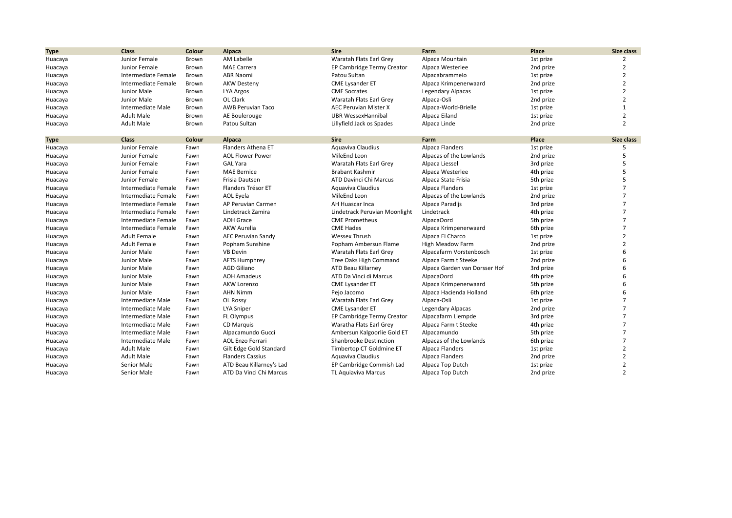| <b>Type</b> | <b>Class</b>        | Colour | Alpaca                    | <b>Sire</b>                   | Farm                          | Place     | Size class     |
|-------------|---------------------|--------|---------------------------|-------------------------------|-------------------------------|-----------|----------------|
| Huacaya     | Junior Female       | Brown  | <b>AM Labelle</b>         | Waratah Flats Earl Grey       | Alpaca Mountain               | 1st prize | 2              |
| Huacaya     | Junior Female       | Brown  | <b>MAE Carrera</b>        | EP Cambridge Termy Creator    | Alpaca Westerlee              | 2nd prize | 2              |
| Huacaya     | Intermediate Female | Brown  | <b>ABR Naomi</b>          | Patou Sultan                  | Alpacabrammelo                | 1st prize | 2              |
| Huacaya     | Intermediate Female | Brown  | <b>AKW Desteny</b>        | <b>CME Lysander ET</b>        | Alpaca Krimpenerwaard         | 2nd prize | 2              |
| Huacaya     | Junior Male         | Brown  | LYA Argos                 | <b>CME Socrates</b>           | <b>Legendary Alpacas</b>      | 1st prize | $\overline{2}$ |
| Huacaya     | Junior Male         | Brown  | OL Clark                  | Waratah Flats Earl Grey       | Alpaca-Osli                   | 2nd prize | $\overline{2}$ |
| Huacaya     | Intermediate Male   | Brown  | <b>AWB Peruvian Taco</b>  | <b>AEC Peruvian Mister X</b>  | Alpaca-World-Brielle          | 1st prize | $\mathbf{1}$   |
| Huacaya     | <b>Adult Male</b>   | Brown  | AE Boulerouge             | <b>UBR WessexHannibal</b>     | Alpaca Eiland                 | 1st prize | $\overline{2}$ |
| Huacaya     | <b>Adult Male</b>   | Brown  | Patou Sultan              | Lillyfield Jack os Spades     | Alpaca Linde                  | 2nd prize | $\overline{2}$ |
| <b>Type</b> | Class               | Colour | Alpaca                    | <b>Sire</b>                   | Farm                          | Place     | Size class     |
| Huacaya     | Junior Female       | Fawn   | Flanders Athena ET        | Aquaviva Claudius             | Alpaca Flanders               | 1st prize | 5              |
| Huacaya     | Junior Female       | Fawn   | <b>AOL Flower Power</b>   | MileEnd Leon                  | Alpacas of the Lowlands       | 2nd prize | 5              |
| Huacaya     | Junior Female       | Fawn   | <b>GAL Yara</b>           | Waratah Flats Earl Grey       | Alpaca Liessel                | 3rd prize | 5              |
| Huacaya     | Junior Female       | Fawn   | <b>MAE Bernice</b>        | <b>Brabant Kashmir</b>        | Alpaca Westerlee              | 4th prize | 5              |
| Huacaya     | Junior Female       | Fawn   | Frisia Dautsen            | ATD Davinci Chi Marcus        | Alpaca State Frisia           | 5th prize | 5              |
| Huacaya     | Intermediate Female | Fawn   | Flanders Trésor ET        | Aquaviva Claudius             | Alpaca Flanders               | 1st prize |                |
| Huacaya     | Intermediate Female | Fawn   | AOL Eyela                 | MileEnd Leon                  | Alpacas of the Lowlands       | 2nd prize |                |
| Huacaya     | Intermediate Female | Fawn   | AP Peruvian Carmen        | <b>AH Huascar Inca</b>        | Alpaca Paradijs               | 3rd prize | $\overline{7}$ |
| Huacaya     | Intermediate Female | Fawn   | Lindetrack Zamira         | Lindetrack Peruvian Moonlight | Lindetrack                    | 4th prize |                |
| Huacaya     | Intermediate Female | Fawn   | <b>AOH Grace</b>          | <b>CME Prometheus</b>         | AlpacaOord                    | 5th prize |                |
| Huacaya     | Intermediate Female | Fawn   | <b>AKW Aurelia</b>        | <b>CME Hades</b>              | Alpaca Krimpenerwaard         | 6th prize | $\overline{7}$ |
| Huacaya     | <b>Adult Female</b> | Fawn   | <b>AEC Peruvian Sandy</b> | <b>Wessex Thrush</b>          | Alpaca El Charco              | 1st prize | 2              |
| Huacaya     | <b>Adult Female</b> | Fawn   | Popham Sunshine           | Popham Ambersun Flame         | <b>High Meadow Farm</b>       | 2nd prize | $\overline{2}$ |
| Huacaya     | Junior Male         | Fawn   | <b>VB Devin</b>           | Waratah Flats Earl Grey       | Alpacafarm Vorstenbosch       | 1st prize | 6              |
| Huacaya     | Junior Male         | Fawn   | <b>AFTS Humphrey</b>      | Tree Oaks High Command        | Alpaca Farm t Steeke          | 2nd prize | 6              |
| Huacaya     | Junior Male         | Fawn   | <b>AGD Giliano</b>        | ATD Beau Killarney            | Alpaca Garden van Dorsser Hof | 3rd prize | 6              |
| Huacaya     | Junior Male         | Fawn   | <b>AOH Amadeus</b>        | ATD Da Vinci di Marcus        | AlpacaOord                    | 4th prize | 6              |
| Huacaya     | Junior Male         | Fawn   | <b>AKW Lorenzo</b>        | <b>CME Lysander ET</b>        | Alpaca Krimpenerwaard         | 5th prize | 6              |
| Huacaya     | Junior Male         | Fawn   | <b>AHN Nimm</b>           | Pejo Jacomo                   | Alpaca Hacienda Holland       | 6th prize | 6              |
| Huacaya     | Intermediate Male   | Fawn   | OL Rossy                  | Waratah Flats Earl Grey       | Alpaca-Osli                   | 1st prize | 7              |
| Huacaya     | Intermediate Male   | Fawn   | <b>LYA Sniper</b>         | <b>CME Lysander ET</b>        | Legendary Alpacas             | 2nd prize |                |
| Huacaya     | Intermediate Male   | Fawn   | FL Olympus                | EP Cambridge Termy Creator    | Alpacafarm Liempde            | 3rd prize | $\overline{7}$ |
| Huacaya     | Intermediate Male   | Fawn   | CD Marquis                | Waratha Flats Earl Grey       | Alpaca Farm t Steeke          | 4th prize | 7              |
| Huacaya     | Intermediate Male   | Fawn   | Alpacamundo Gucci         | Ambersun Kalgoorlie Gold ET   | Alpacamundo                   | 5th prize |                |
| Huacaya     | Intermediate Male   | Fawn   | <b>AOL Enzo Ferrari</b>   | Shanbrooke Destinction        | Alpacas of the Lowlands       | 6th prize | $\overline{7}$ |
| Huacaya     | <b>Adult Male</b>   | Fawn   | Gilt Edge Gold Standard   | Timbertop CT Goldmine ET      | Alpaca Flanders               | 1st prize | $\overline{2}$ |
| Huacaya     | <b>Adult Male</b>   | Fawn   | <b>Flanders Cassius</b>   | Aquaviva Claudius             | Alpaca Flanders               | 2nd prize |                |
| Huacaya     | Senior Male         | Fawn   | ATD Beau Killarney's Lad  | EP Cambridge Commish Lad      | Alpaca Top Dutch              | 1st prize | $\overline{2}$ |
| Huacaya     | Senior Male         | Fawn   | ATD Da Vinci Chi Marcus   | <b>TL Aguiaviva Marcus</b>    | Alpaca Top Dutch              | 2nd prize | $\mathfrak{p}$ |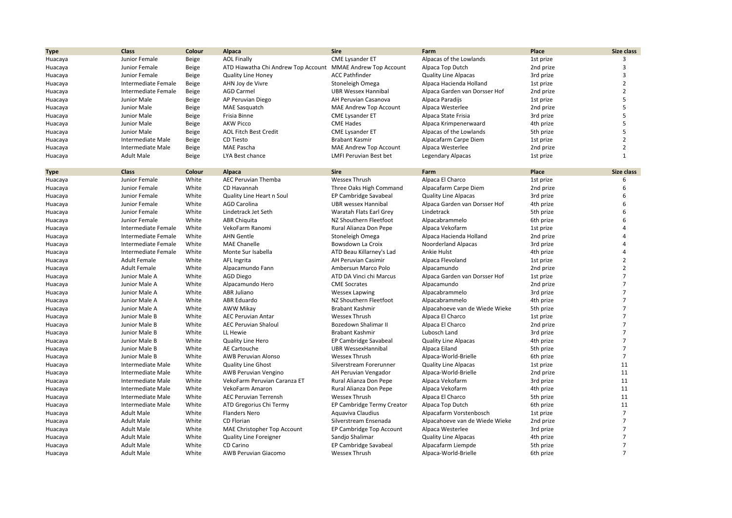| <b>Type</b> | <b>Class</b>        | Colour          | Alpaca                                           | <b>Sire</b>                         | Farm                           | Place     | Size class      |
|-------------|---------------------|-----------------|--------------------------------------------------|-------------------------------------|--------------------------------|-----------|-----------------|
| Huacaya     | Junior Female       | Beige           | <b>AOL Finally</b>                               | <b>CME Lysander ET</b>              | Alpacas of the Lowlands        | 1st prize | 3               |
| Huacaya     | Junior Female       | Beige           | ATD Hiawatha Chi Andrew Top Account              | <b>MMAE Andrew Top Account</b>      | Alpaca Top Dutch               | 2nd prize | 3               |
| Huacaya     | Junior Female       | Beige           | <b>Quality Line Honey</b>                        | <b>ACC Pathfinder</b>               | <b>Quality Line Alpacas</b>    | 3rd prize | $\overline{3}$  |
| Huacaya     | Intermediate Female | Beige           | AHN Joy de Vivre                                 | Stoneleigh Omega                    | Alpaca Hacienda Holland        | 1st prize | $\overline{2}$  |
| Huacaya     | Intermediate Female | Beige           | <b>AGD Carmel</b>                                | <b>UBR Wessex Hannibal</b>          | Alpaca Garden van Dorsser Hof  | 2nd prize | $\overline{2}$  |
| Huacaya     | Junior Male         | Beige           | AP Peruvian Diego                                | AH Peruvian Casanova                | Alpaca Paradijs                | 1st prize | 5               |
| Huacaya     | Junior Male         | Beige           | <b>MAE Sasquatch</b>                             | MAE Andrew Top Account              | Alpaca Westerlee               | 2nd prize | 5               |
| Huacaya     | Junior Male         | Beige           | Frisia Binne                                     | <b>CME Lysander ET</b>              | Alpaca State Frisia            | 3rd prize | 5               |
| Huacaya     | Junior Male         | Beige           | <b>AKW Picco</b>                                 | <b>CME Hades</b>                    | Alpaca Krimpenerwaard          | 4th prize | 5               |
| Huacaya     | Junior Male         | Beige           | <b>AOL Fitch Best Credit</b>                     | <b>CME Lysander ET</b>              | Alpacas of the Lowlands        | 5th prize | 5               |
| Huacaya     | Intermediate Male   | Beige           | CD Tiesto                                        | <b>Brabant Kasmir</b>               | Alpacafarm Carpe Diem          | 1st prize | $\overline{2}$  |
| Huacaya     | Intermediate Male   | Beige           | MAE Pascha                                       | MAE Andrew Top Account              | Alpaca Westerlee               | 2nd prize | $\overline{2}$  |
| Huacaya     | <b>Adult Male</b>   | Beige           | LYA Best chance                                  | <b>LMFI Peruvian Best bet</b>       | <b>Legendary Alpacas</b>       | 1st prize | $\mathbf{1}$    |
|             |                     |                 |                                                  |                                     |                                |           |                 |
| <b>Type</b> | <b>Class</b>        | Colour<br>White | Alpaca                                           | <b>Sire</b><br><b>Wessex Thrush</b> | Farm                           | Place     | Size class<br>6 |
| Huacaya     | Junior Female       | White           | AEC Peruvian Themba<br>CD Havannah               |                                     | Alpaca El Charco               | 1st prize | 6               |
| Huacaya     | Junior Female       |                 |                                                  | Three Oaks High Command             | Alpacafarm Carpe Diem          | 2nd prize | 6               |
| Huacaya     | Junior Female       | White<br>White  | Quality Line Heart n Soul<br><b>AGD Carolina</b> | EP Cambridge Savabeal               | <b>Quality Line Alpacas</b>    | 3rd prize | 6               |
| Huacaya     | Junior Female       |                 |                                                  | <b>UBR</b> wessex Hannibal          | Alpaca Garden van Dorsser Hof  | 4th prize | 6               |
| Huacaya     | Junior Female       | White           | Lindetrack Jet Seth                              | Waratah Flats Earl Grey             | Lindetrack                     | 5th prize |                 |
| Huacaya     | Junior Female       | White           | <b>ABR Chiquita</b>                              | NZ Shouthern Fleetfoot              | Alpacabrammelo                 | 6th prize | 6               |
| Huacaya     | Intermediate Female | White           | VekoFarm Ranomi                                  | Rural Alianza Don Pepe              | Alpaca Vekofarm                | 1st prize | $\overline{4}$  |
| Huacaya     | Intermediate Female | White           | <b>AHN Gentle</b>                                | Stoneleigh Omega                    | Alpaca Hacienda Holland        | 2nd prize | 4               |
| Huacaya     | Intermediate Female | White           | <b>MAE Chanelle</b>                              | Bowsdown La Croix                   | Noorderland Alpacas            | 3rd prize | $\overline{4}$  |
| Huacaya     | Intermediate Female | White           | Monte Sur Isabella                               | ATD Beau Killarney's Lad            | Ankie Hulst                    | 4th prize | $\overline{4}$  |
| Huacaya     | <b>Adult Female</b> | White           | AFL Ingrita                                      | AH Peruvian Casimir                 | Alpaca Flevoland               | 1st prize | $\overline{2}$  |
| Huacaya     | <b>Adult Female</b> | White           | Alpacamundo Fann                                 | Ambersun Marco Polo                 | Alpacamundo                    | 2nd prize | $\overline{2}$  |
| Huacaya     | Junior Male A       | White           | <b>AGD Diego</b>                                 | ATD DA Vinci chi Marcus             | Alpaca Garden van Dorsser Hof  | 1st prize | $\overline{7}$  |
| Huacaya     | Junior Male A       | White           | Alpacamundo Hero                                 | <b>CME Socrates</b>                 | Alpacamundo                    | 2nd prize | $\overline{7}$  |
| Huacaya     | Junior Male A       | White           | ABR Juliano                                      | <b>Wessex Lapwing</b>               | Alpacabrammelo                 | 3rd prize | $\overline{7}$  |
| Huacaya     | Junior Male A       | White           | ABR Eduardo                                      | NZ Shouthern Fleetfoot              | Alpacabrammelo                 | 4th prize | $\overline{7}$  |
| Huacaya     | Junior Male A       | White           | AWW Mikay                                        | <b>Brabant Kashmir</b>              | Alpacahoeve van de Wiede Wieke | 5th prize | $\overline{7}$  |
| Huacaya     | Junior Male B       | White           | <b>AEC Peruvian Antar</b>                        | <b>Wessex Thrush</b>                | Alpaca El Charco               | 1st prize | $\overline{7}$  |
| Huacaya     | Junior Male B       | White           | <b>AEC Peruvian Shaloul</b>                      | Bozedown Shalimar II                | Alpaca El Charco               | 2nd prize | $\overline{7}$  |
| Huacaya     | Junior Male B       | White           | LL Hewie                                         | <b>Brabant Kashmir</b>              | Lubosch Land                   | 3rd prize | $\overline{7}$  |
| Huacaya     | Junior Male B       | White           | <b>Quality Line Hero</b>                         | EP Cambridge Savabeal               | <b>Quality Line Alpacas</b>    | 4th prize | $\overline{7}$  |
| Huacaya     | Junior Male B       | White           | AE Cartouche                                     | <b>UBR WessexHannibal</b>           | Alpaca Eiland                  | 5th prize | $\overline{7}$  |
| Huacaya     | Junior Male B       | White           | <b>AWB Peruvian Alonso</b>                       | <b>Wessex Thrush</b>                | Alpaca-World-Brielle           | 6th prize | $\overline{7}$  |
| Huacaya     | Intermediate Male   | White           | <b>Quality Line Ghost</b>                        | Silverstream Forerunner             | <b>Quality Line Alpacas</b>    | 1st prize | 11              |
| Huacaya     | Intermediate Male   | White           | AWB Peruvian Vengino                             | AH Peruvian Vengador                | Alpaca-World-Brielle           | 2nd prize | 11              |
| Huacaya     | Intermediate Male   | White           | VekoFarm Peruvian Caranza ET                     | Rural Alianza Don Pepe              | Alpaca Vekofarm                | 3rd prize | 11              |
| Huacaya     | Intermediate Male   | White           | VekoFarm Amaron                                  | Rural Alianza Don Pepe              | Alpaca Vekofarm                | 4th prize | 11              |
| Huacaya     | Intermediate Male   | White           | <b>AEC Peruvian Terrensh</b>                     | <b>Wessex Thrush</b>                | Alpaca El Charco               | 5th prize | 11              |
| Huacaya     | Intermediate Male   | White           | ATD Gregorius Chi Termy                          | EP Cambridge Termy Creator          | Alpaca Top Dutch               | 6th prize | 11              |
| Huacaya     | <b>Adult Male</b>   | White           | <b>Flanders Nero</b>                             | Aquaviva Claudius                   | Alpacafarm Vorstenbosch        | 1st prize | $\overline{7}$  |
| Huacaya     | <b>Adult Male</b>   | White           | CD Florian                                       | Silverstream Ensenada               | Alpacahoeve van de Wiede Wieke | 2nd prize | $\overline{7}$  |
| Huacaya     | <b>Adult Male</b>   | White           | MAE Christopher Top Account                      | EP Cambridge Top Account            | Alpaca Westerlee               | 3rd prize | $\overline{7}$  |
| Huacaya     | <b>Adult Male</b>   | White           | <b>Quality Line Foreigner</b>                    | Sandjo Shalimar                     | <b>Quality Line Alpacas</b>    | 4th prize | $\overline{7}$  |
| Huacaya     | <b>Adult Male</b>   | White           | CD Carino                                        | EP Cambridge Savabeal               | Alpacafarm Liempde             | 5th prize | $\overline{7}$  |
| Huacaya     | <b>Adult Male</b>   | White           | AWB Peruvian Giacomo                             | Wessex Thrush                       | Alpaca-World-Brielle           | 6th prize | $\overline{7}$  |